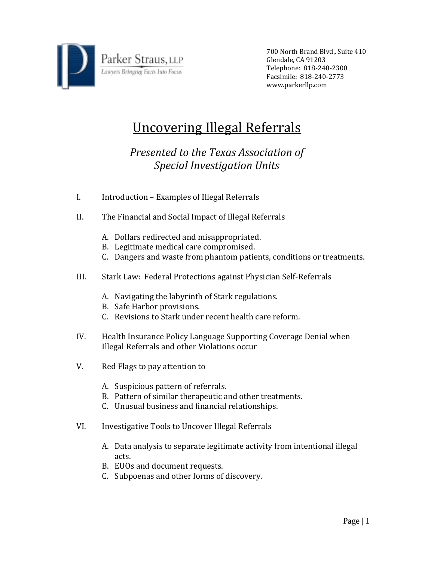

700 North Brand Blvd., Suite 410 Glendale, CA 91203 Telephone: 818‐240‐2300 Facsimile: 818‐240‐2773 www.parkerllp.com

## Uncovering Illegal Referrals

## *Presented to the Texas Association of Special Investigation Units*

- I. Introduction Examples of Illegal Referrals
- II. The Financial and Social Impact of Illegal Referrals
	- A. Dollars redirected and misappropriated.
	- B. Legitimate medical care compromised.
	- C. Dangers and waste from phantom patients, conditions or treatments.
- III. Stark Law: Federal Protections against Physician Self‐Referrals
	- A. Navigating the labyrinth of Stark regulations.
	- B. Safe Harbor provisions.
	- C. Revisions to Stark under recent health care reform.
- IV. Health Insurance Policy Language Supporting Coverage Denial when Illegal Referrals and other Violations occur
- V. Red Flags to pay attention to
	- A. Suspicious pattern of referrals.
	- B. Pattern of similar therapeutic and other treatments.
	- C. Unusual business and financial relationships.
- VI. Investigative Tools to Uncover Illegal Referrals
	- A. Data analysis to separate legitimate activity from intentional illegal acts.
	- B. EUOs and document requests.
	- C. Subpoenas and other forms of discovery.